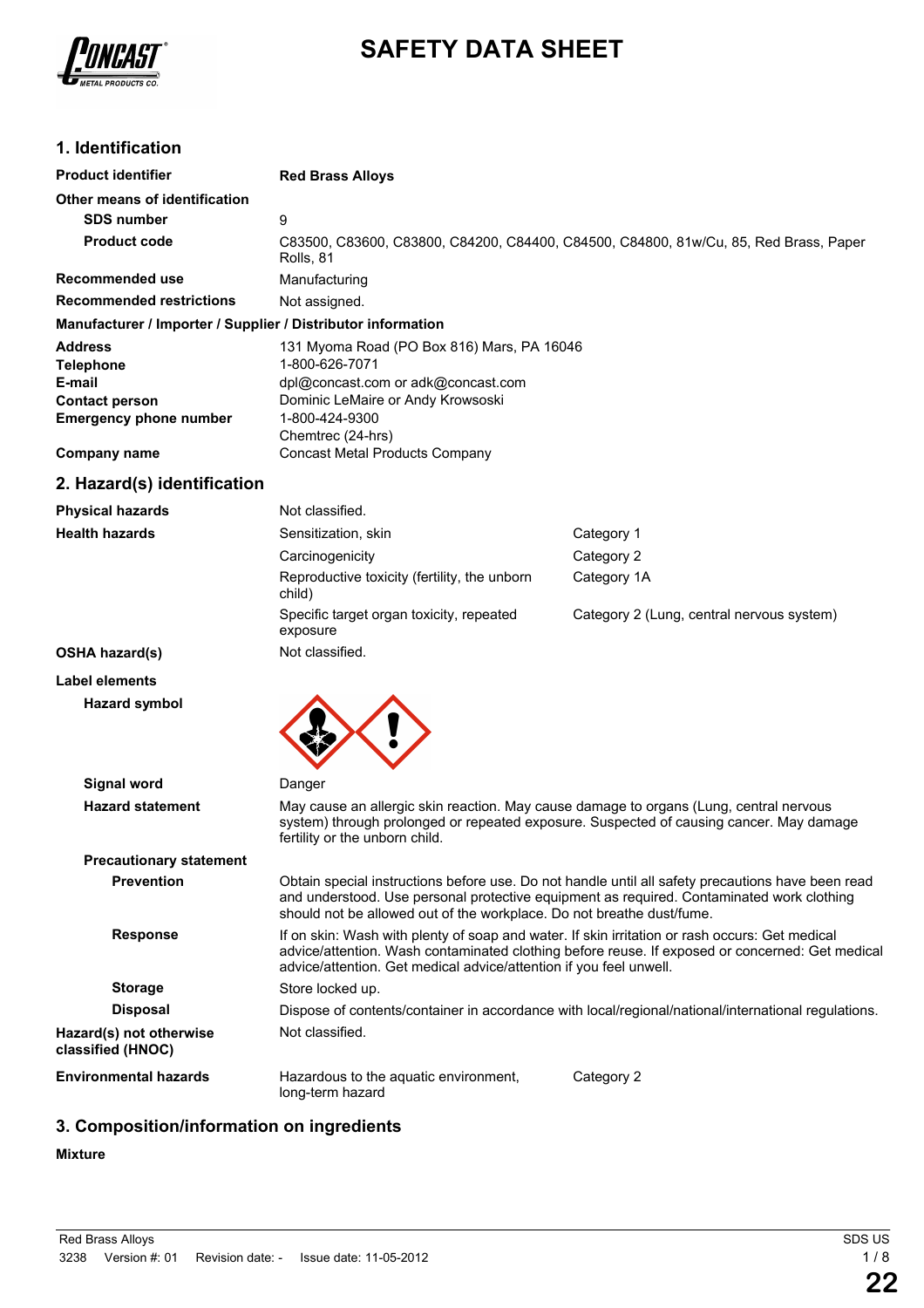

# **SAFETY DATA SHEET**

## **1. Identification**

| <b>Product identifier</b>                                    | <b>Red Brass Alloys</b>                                                                           |
|--------------------------------------------------------------|---------------------------------------------------------------------------------------------------|
| Other means of identification                                |                                                                                                   |
| <b>SDS number</b>                                            | 9                                                                                                 |
| <b>Product code</b>                                          | C83500, C83600, C83800, C84200, C84400, C84500, C84800, 81w/Cu, 85, Red Brass, Paper<br>Rolls, 81 |
| Recommended use                                              | Manufacturing                                                                                     |
| <b>Recommended restrictions</b>                              | Not assigned.                                                                                     |
| Manufacturer / Importer / Supplier / Distributor information |                                                                                                   |
| <b>Address</b>                                               | 131 Myoma Road (PO Box 816) Mars, PA 16046                                                        |
| <b>Telephone</b>                                             | 1-800-626-7071                                                                                    |
| E-mail                                                       | dpl@concast.com or adk@concast.com                                                                |
| <b>Contact person</b>                                        | Dominic LeMaire or Andy Krowsoski                                                                 |
| <b>Emergency phone number</b>                                | 1-800-424-9300                                                                                    |
|                                                              | Chemtrec (24-hrs)                                                                                 |
| <b>Company name</b>                                          | Concast Metal Products Company                                                                    |

## **2. Hazard(s) identification**

| <b>Physical hazards</b> | Not classified.                                        |                                           |
|-------------------------|--------------------------------------------------------|-------------------------------------------|
| <b>Health hazards</b>   | Sensitization, skin                                    | Category 1                                |
|                         | Carcinogenicity                                        | Category 2                                |
|                         | Reproductive toxicity (fertility, the unborn<br>child) | Category 1A                               |
|                         | Specific target organ toxicity, repeated<br>exposure   | Category 2 (Lung, central nervous system) |
| <b>OSHA hazard(s)</b>   | Not classified.                                        |                                           |
| <b>Label elements</b>   |                                                        |                                           |
|                         |                                                        |                                           |

## **Hazard symbol**



| <b>Signal word</b>                           | Danger                                                                                                                                                                                                                                                                  |  |  |
|----------------------------------------------|-------------------------------------------------------------------------------------------------------------------------------------------------------------------------------------------------------------------------------------------------------------------------|--|--|
| <b>Hazard statement</b>                      | May cause an allergic skin reaction. May cause damage to organs (Lung, central nervous<br>system) through prolonged or repeated exposure. Suspected of causing cancer. May damage<br>fertility or the unborn child.                                                     |  |  |
| <b>Precautionary statement</b>               |                                                                                                                                                                                                                                                                         |  |  |
| <b>Prevention</b>                            | Obtain special instructions before use. Do not handle until all safety precautions have been read<br>and understood. Use personal protective equipment as required. Contaminated work clothing<br>should not be allowed out of the workplace. Do not breathe dust/fume. |  |  |
| <b>Response</b>                              | If on skin: Wash with plenty of soap and water. If skin irritation or rash occurs: Get medical<br>advice/attention. Wash contaminated clothing before reuse. If exposed or concerned: Get medical<br>advice/attention. Get medical advice/attention if you feel unwell. |  |  |
| <b>Storage</b>                               | Store locked up.                                                                                                                                                                                                                                                        |  |  |
| <b>Disposal</b>                              | Dispose of contents/container in accordance with local/regional/national/international regulations.                                                                                                                                                                     |  |  |
| Hazard(s) not otherwise<br>classified (HNOC) | Not classified.                                                                                                                                                                                                                                                         |  |  |
| <b>Environmental hazards</b>                 | Hazardous to the aquatic environment,<br>Category 2<br>long-term hazard                                                                                                                                                                                                 |  |  |

## **3. Composition/information on ingredients**

#### **Mixture**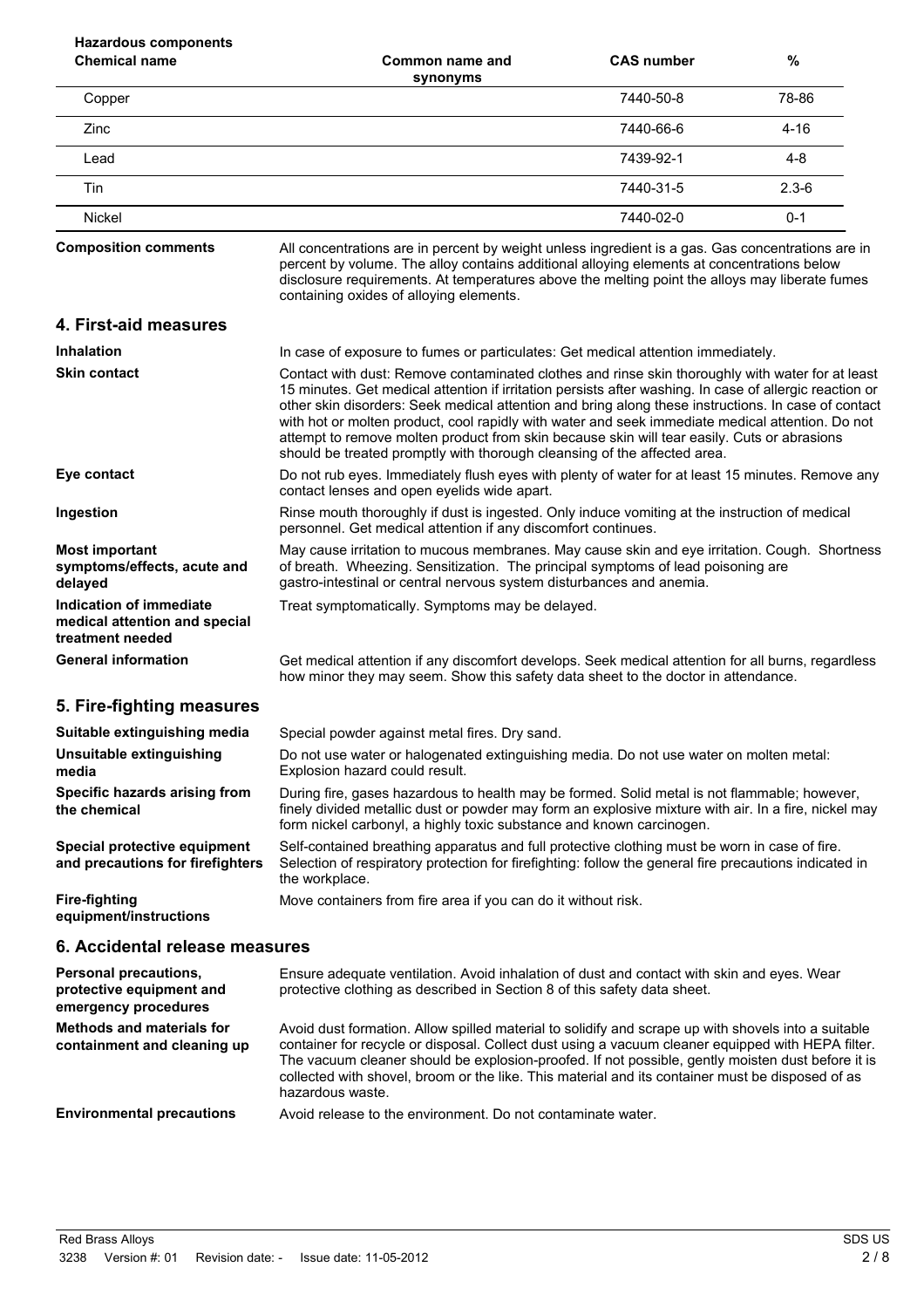| <b>Hazardous components</b><br><b>Chemical name</b>                          | Common name and                                                                                                                                                                                                                                                                                                                                                                                                                                                                                                                                                                                   | <b>CAS number</b> | %         |
|------------------------------------------------------------------------------|---------------------------------------------------------------------------------------------------------------------------------------------------------------------------------------------------------------------------------------------------------------------------------------------------------------------------------------------------------------------------------------------------------------------------------------------------------------------------------------------------------------------------------------------------------------------------------------------------|-------------------|-----------|
| Copper                                                                       | synonyms                                                                                                                                                                                                                                                                                                                                                                                                                                                                                                                                                                                          | 7440-50-8         | 78-86     |
| Zinc                                                                         |                                                                                                                                                                                                                                                                                                                                                                                                                                                                                                                                                                                                   | 7440-66-6         | $4 - 16$  |
| Lead                                                                         |                                                                                                                                                                                                                                                                                                                                                                                                                                                                                                                                                                                                   | 7439-92-1         | $4 - 8$   |
| Tin                                                                          |                                                                                                                                                                                                                                                                                                                                                                                                                                                                                                                                                                                                   | 7440-31-5         | $2.3 - 6$ |
| Nickel                                                                       |                                                                                                                                                                                                                                                                                                                                                                                                                                                                                                                                                                                                   | 7440-02-0         | $0 - 1$   |
| <b>Composition comments</b>                                                  | All concentrations are in percent by weight unless ingredient is a gas. Gas concentrations are in<br>percent by volume. The alloy contains additional alloying elements at concentrations below<br>disclosure requirements. At temperatures above the melting point the alloys may liberate fumes<br>containing oxides of alloying elements.                                                                                                                                                                                                                                                      |                   |           |
| 4. First-aid measures                                                        |                                                                                                                                                                                                                                                                                                                                                                                                                                                                                                                                                                                                   |                   |           |
| <b>Inhalation</b>                                                            | In case of exposure to fumes or particulates: Get medical attention immediately.                                                                                                                                                                                                                                                                                                                                                                                                                                                                                                                  |                   |           |
| <b>Skin contact</b>                                                          | Contact with dust: Remove contaminated clothes and rinse skin thoroughly with water for at least<br>15 minutes. Get medical attention if irritation persists after washing. In case of allergic reaction or<br>other skin disorders: Seek medical attention and bring along these instructions. In case of contact<br>with hot or molten product, cool rapidly with water and seek immediate medical attention. Do not<br>attempt to remove molten product from skin because skin will tear easily. Cuts or abrasions<br>should be treated promptly with thorough cleansing of the affected area. |                   |           |
| Eye contact                                                                  | Do not rub eyes. Immediately flush eyes with plenty of water for at least 15 minutes. Remove any<br>contact lenses and open eyelids wide apart.                                                                                                                                                                                                                                                                                                                                                                                                                                                   |                   |           |
| Ingestion                                                                    | Rinse mouth thoroughly if dust is ingested. Only induce vomiting at the instruction of medical<br>personnel. Get medical attention if any discomfort continues.                                                                                                                                                                                                                                                                                                                                                                                                                                   |                   |           |
| <b>Most important</b><br>symptoms/effects, acute and<br>delayed              | May cause irritation to mucous membranes. May cause skin and eye irritation. Cough. Shortness<br>of breath. Wheezing. Sensitization. The principal symptoms of lead poisoning are<br>gastro-intestinal or central nervous system disturbances and anemia.                                                                                                                                                                                                                                                                                                                                         |                   |           |
| Indication of immediate<br>medical attention and special<br>treatment needed | Treat symptomatically. Symptoms may be delayed.                                                                                                                                                                                                                                                                                                                                                                                                                                                                                                                                                   |                   |           |
| <b>General information</b>                                                   | Get medical attention if any discomfort develops. Seek medical attention for all burns, regardless<br>how minor they may seem. Show this safety data sheet to the doctor in attendance.                                                                                                                                                                                                                                                                                                                                                                                                           |                   |           |
| 5. Fire-fighting measures                                                    |                                                                                                                                                                                                                                                                                                                                                                                                                                                                                                                                                                                                   |                   |           |
| Suitable extinguishing media                                                 | Special powder against metal fires. Dry sand.                                                                                                                                                                                                                                                                                                                                                                                                                                                                                                                                                     |                   |           |
| Unsuitable extinguishing<br>media                                            | Do not use water or halogenated extinguishing media. Do not use water on molten metal:<br>Explosion hazard could result.                                                                                                                                                                                                                                                                                                                                                                                                                                                                          |                   |           |
| Specific hazards arising from<br>the chemical                                | During fire, gases hazardous to health may be formed. Solid metal is not flammable; however,<br>finely divided metallic dust or powder may form an explosive mixture with air. In a fire, nickel may<br>form nickel carbonyl, a highly toxic substance and known carcinogen.                                                                                                                                                                                                                                                                                                                      |                   |           |
| Special protective equipment<br>and precautions for firefighters             | Self-contained breathing apparatus and full protective clothing must be worn in case of fire.<br>Selection of respiratory protection for firefighting: follow the general fire precautions indicated in<br>the workplace.                                                                                                                                                                                                                                                                                                                                                                         |                   |           |
| <b>Fire-fighting</b><br>equipment/instructions                               | Move containers from fire area if you can do it without risk.                                                                                                                                                                                                                                                                                                                                                                                                                                                                                                                                     |                   |           |
| 6. Accidental release measures                                               |                                                                                                                                                                                                                                                                                                                                                                                                                                                                                                                                                                                                   |                   |           |
| Personal precautions,<br>protective equipment and<br>emergency procedures    | Ensure adequate ventilation. Avoid inhalation of dust and contact with skin and eyes. Wear<br>protective clothing as described in Section 8 of this safety data sheet.                                                                                                                                                                                                                                                                                                                                                                                                                            |                   |           |
| <b>Methods and materials for</b><br>containment and cleaning up              | Avoid dust formation. Allow spilled material to solidify and scrape up with shovels into a suitable<br>container for recycle or disposal. Collect dust using a vacuum cleaner equipped with HEPA filter.<br>The vacuum cleaner should be explosion-proofed. If not possible, gently moisten dust before it is<br>collected with shovel, broom or the like. This material and its container must be disposed of as<br>hazardous waste.                                                                                                                                                             |                   |           |
| <b>Environmental precautions</b>                                             | Avoid release to the environment. Do not contaminate water.                                                                                                                                                                                                                                                                                                                                                                                                                                                                                                                                       |                   |           |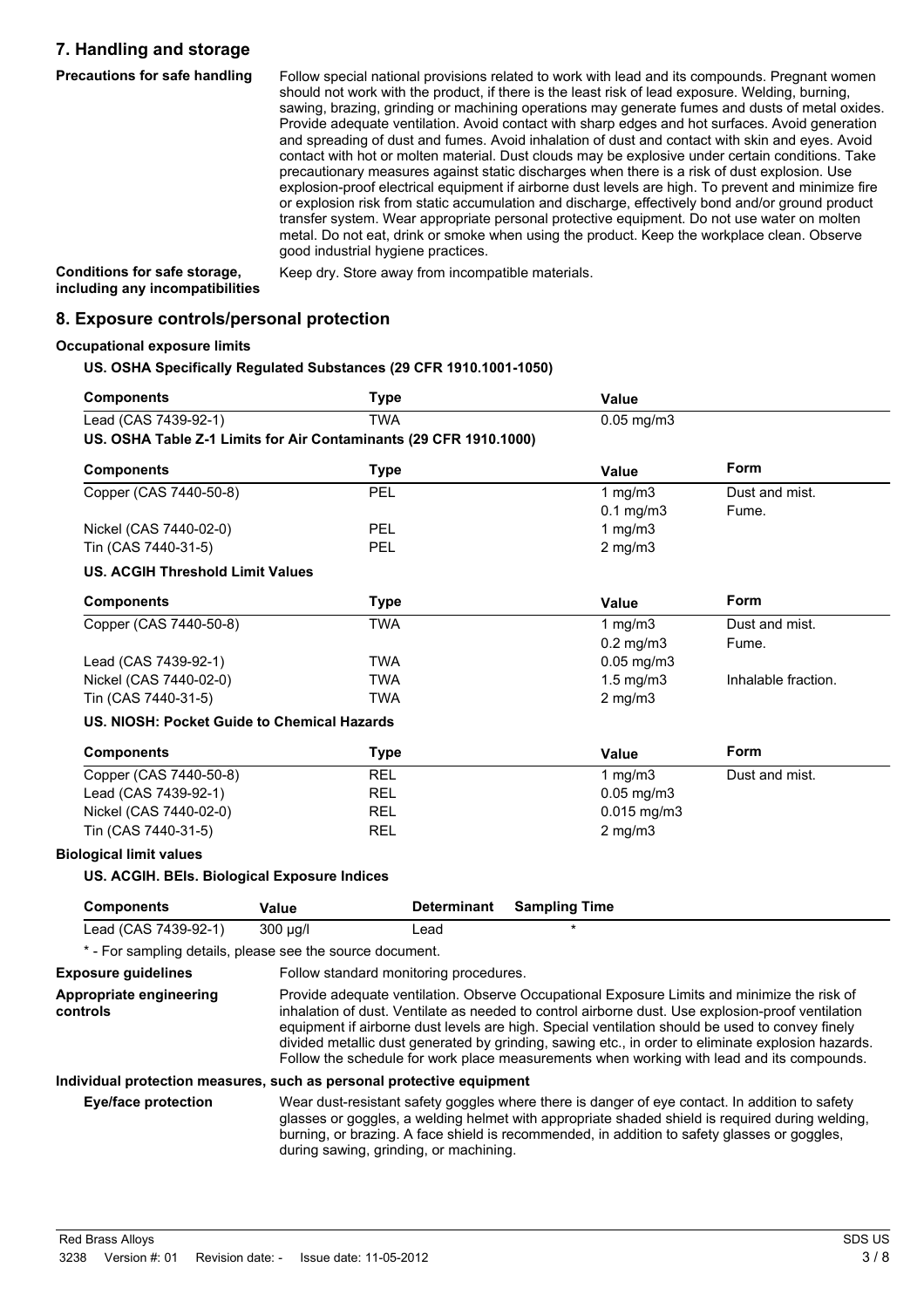### **7. Handling and storage**

**Precautions for safe handling** Follow special national provisions related to work with lead and its compounds. Pregnant women should not work with the product, if there is the least risk of lead exposure. Welding, burning, sawing, brazing, grinding or machining operations may generate fumes and dusts of metal oxides. Provide adequate ventilation. Avoid contact with sharp edges and hot surfaces. Avoid generation and spreading of dust and fumes. Avoid inhalation of dust and contact with skin and eyes. Avoid contact with hot or molten material. Dust clouds may be explosive under certain conditions. Take precautionary measures against static discharges when there is a risk of dust explosion. Use explosion-proof electrical equipment if airborne dust levels are high. To prevent and minimize fire or explosion risk from static accumulation and discharge, effectively bond and/or ground product transfer system. Wear appropriate personal protective equipment. Do not use water on molten metal. Do not eat, drink or smoke when using the product. Keep the workplace clean. Observe good industrial hygiene practices. Keep dry. Store away from incompatible materials.

**Conditions for safe storage, including any incompatibilities**

**8. Exposure controls/personal protection**

#### **Occupational exposure limits**

#### **US. OSHA Specifically Regulated Substances (29 CFR 1910.1001-1050)**

| <b>Components</b>                                                 | <b>Type</b> |                    | Value                |                     |
|-------------------------------------------------------------------|-------------|--------------------|----------------------|---------------------|
| Lead (CAS 7439-92-1)                                              | <b>TWA</b>  |                    | $0.05$ mg/m $3$      |                     |
| US. OSHA Table Z-1 Limits for Air Contaminants (29 CFR 1910.1000) |             |                    |                      |                     |
| <b>Components</b>                                                 | <b>Type</b> |                    | Value                | Form                |
| Copper (CAS 7440-50-8)                                            | <b>PEL</b>  |                    | 1 mg/m $3$           | Dust and mist.      |
|                                                                   |             |                    | $0.1$ mg/m $3$       | Fume.               |
| Nickel (CAS 7440-02-0)                                            | PEL         |                    | 1 $mg/m3$            |                     |
| Tin (CAS 7440-31-5)                                               | PEL         |                    | $2$ mg/m $3$         |                     |
| <b>US. ACGIH Threshold Limit Values</b>                           |             |                    |                      |                     |
| <b>Components</b>                                                 | <b>Type</b> |                    | Value                | Form                |
| Copper (CAS 7440-50-8)                                            | <b>TWA</b>  |                    | 1 $mg/m3$            | Dust and mist.      |
|                                                                   |             |                    | $0.2$ mg/m $3$       | Fume.               |
| Lead (CAS 7439-92-1)                                              | <b>TWA</b>  |                    | $0.05$ mg/m $3$      |                     |
| Nickel (CAS 7440-02-0)                                            | <b>TWA</b>  |                    | $1.5$ mg/m $3$       | Inhalable fraction. |
| Tin (CAS 7440-31-5)                                               | <b>TWA</b>  |                    | $2$ mg/m $3$         |                     |
| US. NIOSH: Pocket Guide to Chemical Hazards                       |             |                    |                      |                     |
| <b>Components</b>                                                 | <b>Type</b> |                    | Value                | Form                |
| Copper (CAS 7440-50-8)                                            | <b>REL</b>  |                    | 1 mg/m $3$           | Dust and mist.      |
| Lead (CAS 7439-92-1)                                              | <b>REL</b>  |                    | $0.05$ mg/m $3$      |                     |
| Nickel (CAS 7440-02-0)                                            | <b>REL</b>  |                    | 0.015 mg/m3          |                     |
| Tin (CAS 7440-31-5)                                               | <b>REL</b>  |                    | $2$ mg/m $3$         |                     |
| <b>Biological limit values</b>                                    |             |                    |                      |                     |
| US. ACGIH. BEIs. Biological Exposure Indices                      |             |                    |                      |                     |
| <b>Components</b>                                                 | Value       | <b>Determinant</b> | <b>Sampling Time</b> |                     |
| Lead (CAS 7439-92-1)                                              | 300 µg/l    | Lead               | $\star$              |                     |
| * - For sampling details, please see the source document.         |             |                    |                      |                     |

**Exposure guidelines** Follow standard monitoring procedures.

**Appropriate engineering controls** Provide adequate ventilation. Observe Occupational Exposure Limits and minimize the risk of inhalation of dust. Ventilate as needed to control airborne dust. Use explosion-proof ventilation equipment if airborne dust levels are high. Special ventilation should be used to convey finely divided metallic dust generated by grinding, sawing etc., in order to eliminate explosion hazards. Follow the schedule for work place measurements when working with lead and its compounds.

#### **Individual protection measures, such as personal protective equipment**

**Eye/face protection** Wear dust-resistant safety goggles where there is danger of eye contact. In addition to safety glasses or goggles, a welding helmet with appropriate shaded shield is required during welding, burning, or brazing. A face shield is recommended, in addition to safety glasses or goggles, during sawing, grinding, or machining.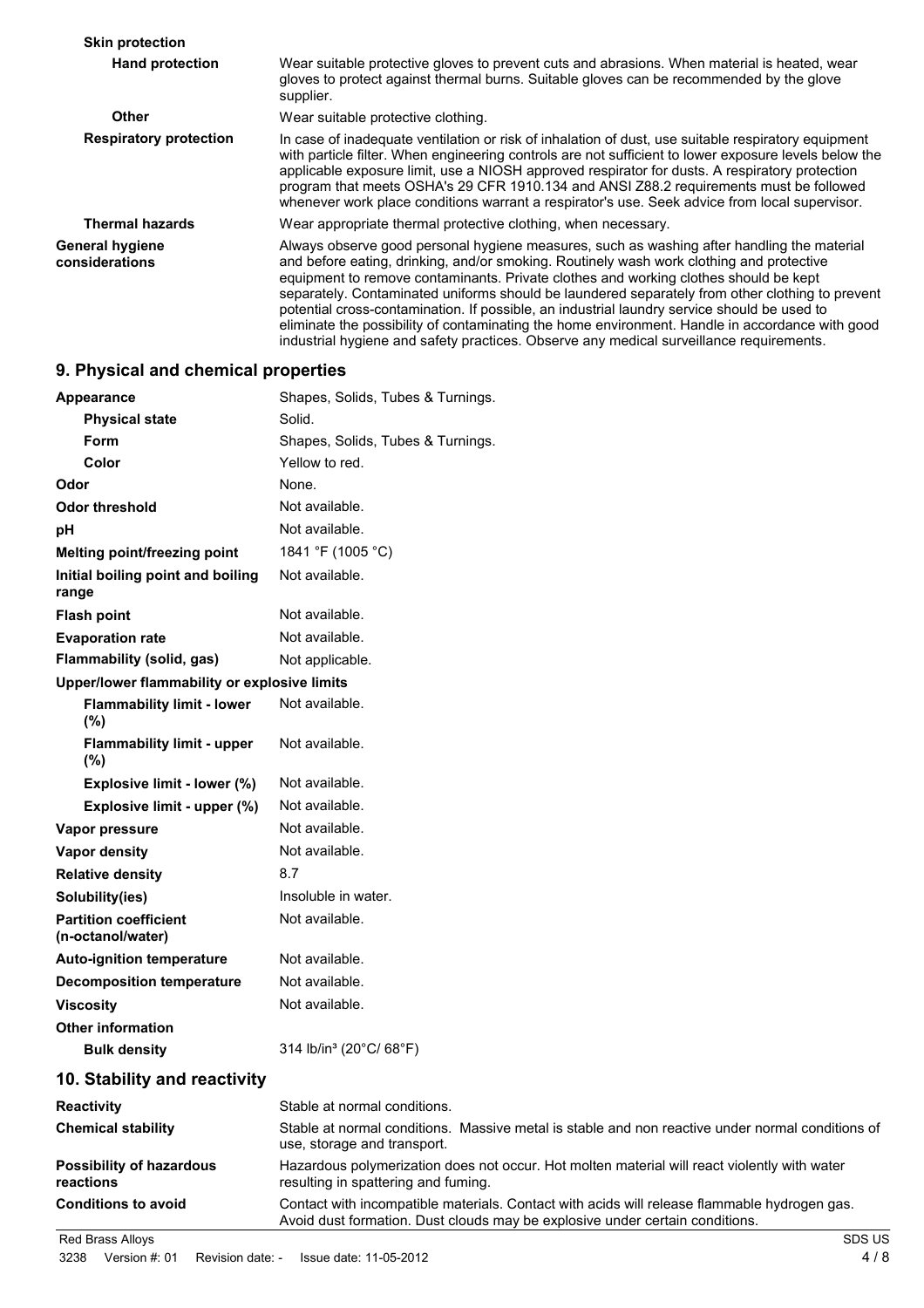| <b>Skin protection</b>                   |                                                                                                                                                                                                                                                                                                                                                                                                                                                                                                                                                                                                                                                                                |
|------------------------------------------|--------------------------------------------------------------------------------------------------------------------------------------------------------------------------------------------------------------------------------------------------------------------------------------------------------------------------------------------------------------------------------------------------------------------------------------------------------------------------------------------------------------------------------------------------------------------------------------------------------------------------------------------------------------------------------|
| <b>Hand protection</b>                   | Wear suitable protective gloves to prevent cuts and abrasions. When material is heated, wear<br>gloves to protect against thermal burns. Suitable gloves can be recommended by the glove<br>supplier.                                                                                                                                                                                                                                                                                                                                                                                                                                                                          |
| <b>Other</b>                             | Wear suitable protective clothing.                                                                                                                                                                                                                                                                                                                                                                                                                                                                                                                                                                                                                                             |
| <b>Respiratory protection</b>            | In case of inadequate ventilation or risk of inhalation of dust, use suitable respiratory equipment<br>with particle filter. When engineering controls are not sufficient to lower exposure levels below the<br>applicable exposure limit, use a NIOSH approved respirator for dusts. A respiratory protection<br>program that meets OSHA's 29 CFR 1910.134 and ANSI Z88.2 requirements must be followed<br>whenever work place conditions warrant a respirator's use. Seek advice from local supervisor.                                                                                                                                                                      |
| <b>Thermal hazards</b>                   | Wear appropriate thermal protective clothing, when necessary.                                                                                                                                                                                                                                                                                                                                                                                                                                                                                                                                                                                                                  |
| <b>General hygiene</b><br>considerations | Always observe good personal hygiene measures, such as washing after handling the material<br>and before eating, drinking, and/or smoking. Routinely wash work clothing and protective<br>equipment to remove contaminants. Private clothes and working clothes should be kept<br>separately. Contaminated uniforms should be laundered separately from other clothing to prevent<br>potential cross-contamination. If possible, an industrial laundry service should be used to<br>eliminate the possibility of contaminating the home environment. Handle in accordance with good<br>industrial hygiene and safety practices. Observe any medical surveillance requirements. |

## **9. Physical and chemical properties**

| Appearance                                        | Shapes, Solids, Tubes & Turnings.                                                                                                                                            |
|---------------------------------------------------|------------------------------------------------------------------------------------------------------------------------------------------------------------------------------|
| <b>Physical state</b>                             | Solid.                                                                                                                                                                       |
| Form                                              | Shapes, Solids, Tubes & Turnings.                                                                                                                                            |
| Color                                             | Yellow to red.                                                                                                                                                               |
| Odor                                              | None.                                                                                                                                                                        |
| <b>Odor threshold</b>                             | Not available.                                                                                                                                                               |
| рH                                                | Not available.                                                                                                                                                               |
| Melting point/freezing point                      | 1841 °F (1005 °C)                                                                                                                                                            |
| Initial boiling point and boiling<br>range        | Not available.                                                                                                                                                               |
| <b>Flash point</b>                                | Not available.                                                                                                                                                               |
| <b>Evaporation rate</b>                           | Not available.                                                                                                                                                               |
| Flammability (solid, gas)                         | Not applicable.                                                                                                                                                              |
| Upper/lower flammability or explosive limits      |                                                                                                                                                                              |
| <b>Flammability limit - lower</b><br>(%)          | Not available.                                                                                                                                                               |
| <b>Flammability limit - upper</b><br>$(\% )$      | Not available.                                                                                                                                                               |
| Explosive limit - lower (%)                       | Not available.                                                                                                                                                               |
| Explosive limit - upper (%)                       | Not available.                                                                                                                                                               |
| Vapor pressure                                    | Not available.                                                                                                                                                               |
| <b>Vapor density</b>                              | Not available.                                                                                                                                                               |
| <b>Relative density</b>                           | 8.7                                                                                                                                                                          |
| Solubility(ies)                                   | Insoluble in water.                                                                                                                                                          |
| <b>Partition coefficient</b><br>(n-octanol/water) | Not available.                                                                                                                                                               |
| <b>Auto-ignition temperature</b>                  | Not available.                                                                                                                                                               |
| <b>Decomposition temperature</b>                  | Not available.                                                                                                                                                               |
| <b>Viscosity</b>                                  | Not available.                                                                                                                                                               |
| <b>Other information</b>                          |                                                                                                                                                                              |
| <b>Bulk density</b>                               | 314 lb/in <sup>3</sup> (20°C/ 68°F)                                                                                                                                          |
| 10. Stability and reactivity                      |                                                                                                                                                                              |
| <b>Reactivity</b>                                 | Stable at normal conditions.                                                                                                                                                 |
| <b>Chemical stability</b>                         | Stable at normal conditions. Massive metal is stable and non reactive under normal conditions of<br>use, storage and transport.                                              |
| <b>Possibility of hazardous</b><br>reactions      | Hazardous polymerization does not occur. Hot molten material will react violently with water<br>resulting in spattering and fuming.                                          |
| <b>Conditions to avoid</b>                        | Contact with incompatible materials. Contact with acids will release flammable hydrogen gas.<br>Avoid dust formation. Dust clouds may be explosive under certain conditions. |
| Red Brass Alloys                                  | <b>SDS US</b>                                                                                                                                                                |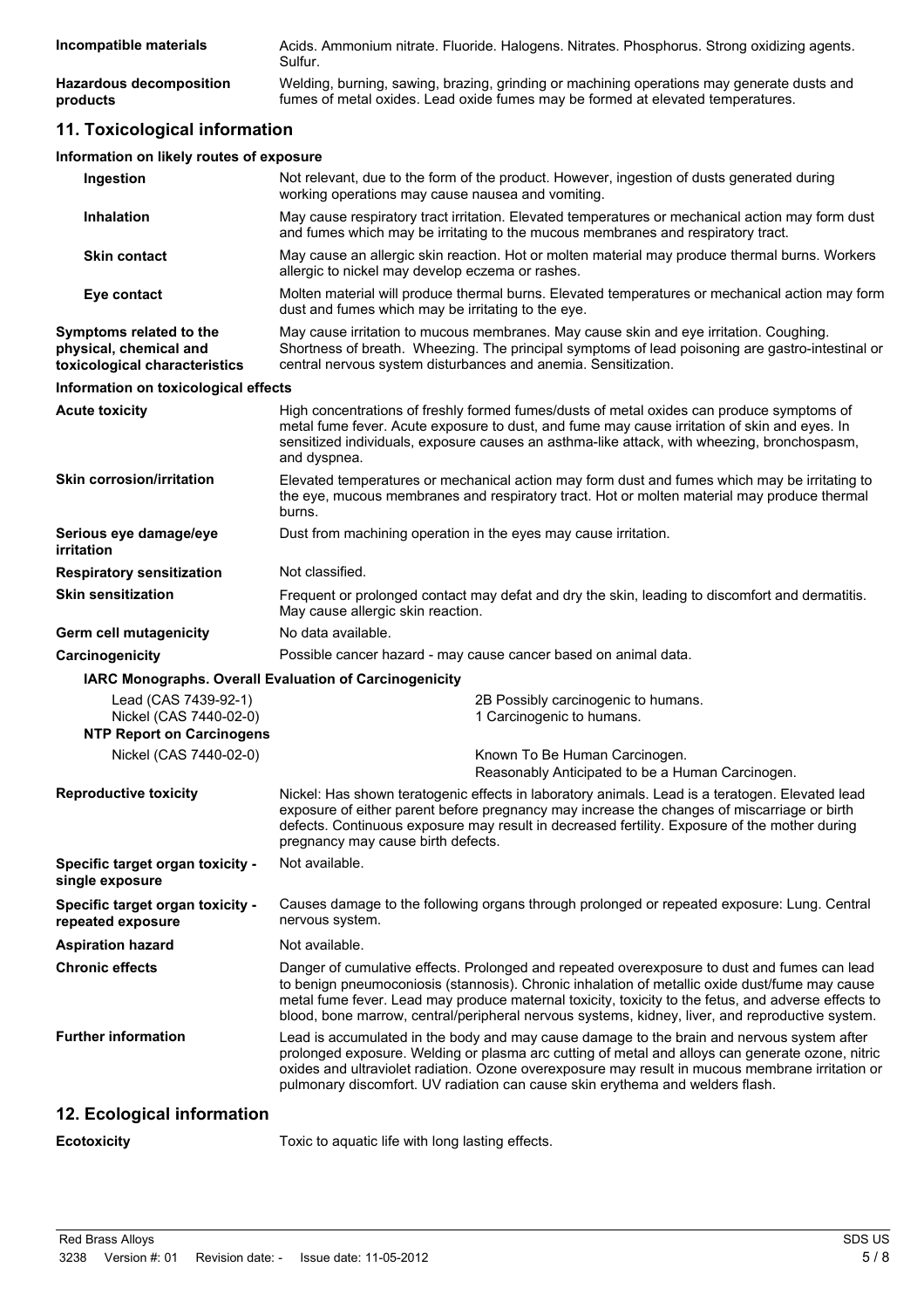| Incompatible materials         | Acids. Ammonium nitrate. Fluoride. Halogens. Nitrates. Phosphorus. Strong oxidizing agents.<br>Sulfur. |
|--------------------------------|--------------------------------------------------------------------------------------------------------|
| <b>Hazardous decomposition</b> | Welding, burning, sawing, brazing, grinding or machining operations may generate dusts and             |
| products                       | fumes of metal oxides. Lead oxide fumes may be formed at elevated temperatures.                        |

## **11. Toxicological information**

| Information on likely routes of exposure                                           |                                                                                                                                                                                                                                                                                                                                                                                                          |
|------------------------------------------------------------------------------------|----------------------------------------------------------------------------------------------------------------------------------------------------------------------------------------------------------------------------------------------------------------------------------------------------------------------------------------------------------------------------------------------------------|
| Ingestion                                                                          | Not relevant, due to the form of the product. However, ingestion of dusts generated during<br>working operations may cause nausea and vomiting.                                                                                                                                                                                                                                                          |
| <b>Inhalation</b>                                                                  | May cause respiratory tract irritation. Elevated temperatures or mechanical action may form dust<br>and fumes which may be irritating to the mucous membranes and respiratory tract.                                                                                                                                                                                                                     |
| <b>Skin contact</b>                                                                | May cause an allergic skin reaction. Hot or molten material may produce thermal burns. Workers<br>allergic to nickel may develop eczema or rashes.                                                                                                                                                                                                                                                       |
| Eye contact                                                                        | Molten material will produce thermal burns. Elevated temperatures or mechanical action may form<br>dust and fumes which may be irritating to the eye.                                                                                                                                                                                                                                                    |
| Symptoms related to the<br>physical, chemical and<br>toxicological characteristics | May cause irritation to mucous membranes. May cause skin and eye irritation. Coughing.<br>Shortness of breath. Wheezing. The principal symptoms of lead poisoning are gastro-intestinal or<br>central nervous system disturbances and anemia. Sensitization.                                                                                                                                             |
| Information on toxicological effects                                               |                                                                                                                                                                                                                                                                                                                                                                                                          |
| Acute toxicity                                                                     | High concentrations of freshly formed fumes/dusts of metal oxides can produce symptoms of<br>metal fume fever. Acute exposure to dust, and fume may cause irritation of skin and eyes. In<br>sensitized individuals, exposure causes an asthma-like attack, with wheezing, bronchospasm,<br>and dyspnea.                                                                                                 |
| <b>Skin corrosion/irritation</b>                                                   | Elevated temperatures or mechanical action may form dust and fumes which may be irritating to<br>the eye, mucous membranes and respiratory tract. Hot or molten material may produce thermal<br>burns.                                                                                                                                                                                                   |
| Serious eye damage/eye<br>irritation                                               | Dust from machining operation in the eyes may cause irritation.                                                                                                                                                                                                                                                                                                                                          |
| <b>Respiratory sensitization</b>                                                   | Not classified.                                                                                                                                                                                                                                                                                                                                                                                          |
| Skin sensitization                                                                 | Frequent or prolonged contact may defat and dry the skin, leading to discomfort and dermatitis.<br>May cause allergic skin reaction.                                                                                                                                                                                                                                                                     |
| Germ cell mutagenicity                                                             | No data available.                                                                                                                                                                                                                                                                                                                                                                                       |
| <b>Carcinogenicity</b>                                                             | Possible cancer hazard - may cause cancer based on animal data.                                                                                                                                                                                                                                                                                                                                          |
| IARC Monographs. Overall Evaluation of Carcinogenicity                             |                                                                                                                                                                                                                                                                                                                                                                                                          |
| Lead (CAS 7439-92-1)<br>Nickel (CAS 7440-02-0)                                     | 2B Possibly carcinogenic to humans.<br>1 Carcinogenic to humans.                                                                                                                                                                                                                                                                                                                                         |
| <b>NTP Report on Carcinogens</b>                                                   |                                                                                                                                                                                                                                                                                                                                                                                                          |
| Nickel (CAS 7440-02-0)                                                             | Known To Be Human Carcinogen.<br>Reasonably Anticipated to be a Human Carcinogen.                                                                                                                                                                                                                                                                                                                        |
| <b>Reproductive toxicity</b>                                                       | Nickel: Has shown teratogenic effects in laboratory animals. Lead is a teratogen. Elevated lead<br>exposure of either parent before pregnancy may increase the changes of miscarriage or birth<br>defects. Continuous exposure may result in decreased fertility. Exposure of the mother during<br>pregnancy may cause birth defects.                                                                    |
| Specific target organ toxicity -<br>single exposure                                | Not available.                                                                                                                                                                                                                                                                                                                                                                                           |
| <b>Specific target organ toxicity -</b><br>repeated exposure                       | Causes damage to the following organs through prolonged or repeated exposure: Lung. Central<br>nervous system.                                                                                                                                                                                                                                                                                           |
| <b>Aspiration hazard</b>                                                           | Not available.                                                                                                                                                                                                                                                                                                                                                                                           |
| <b>Chronic effects</b>                                                             | Danger of cumulative effects. Prolonged and repeated overexposure to dust and fumes can lead<br>to benign pneumoconiosis (stannosis). Chronic inhalation of metallic oxide dust/fume may cause<br>metal fume fever. Lead may produce maternal toxicity, toxicity to the fetus, and adverse effects to<br>blood, bone marrow, central/peripheral nervous systems, kidney, liver, and reproductive system. |
| <b>Further information</b>                                                         | Lead is accumulated in the body and may cause damage to the brain and nervous system after<br>prolonged exposure. Welding or plasma arc cutting of metal and alloys can generate ozone, nitric<br>oxides and ultraviolet radiation. Ozone overexposure may result in mucous membrane irritation or<br>pulmonary discomfort. UV radiation can cause skin erythema and welders flash.                      |
| 12. Ecological information                                                         |                                                                                                                                                                                                                                                                                                                                                                                                          |
| Ecotoxicity                                                                        | Toxic to aquatic life with long lasting effects.                                                                                                                                                                                                                                                                                                                                                         |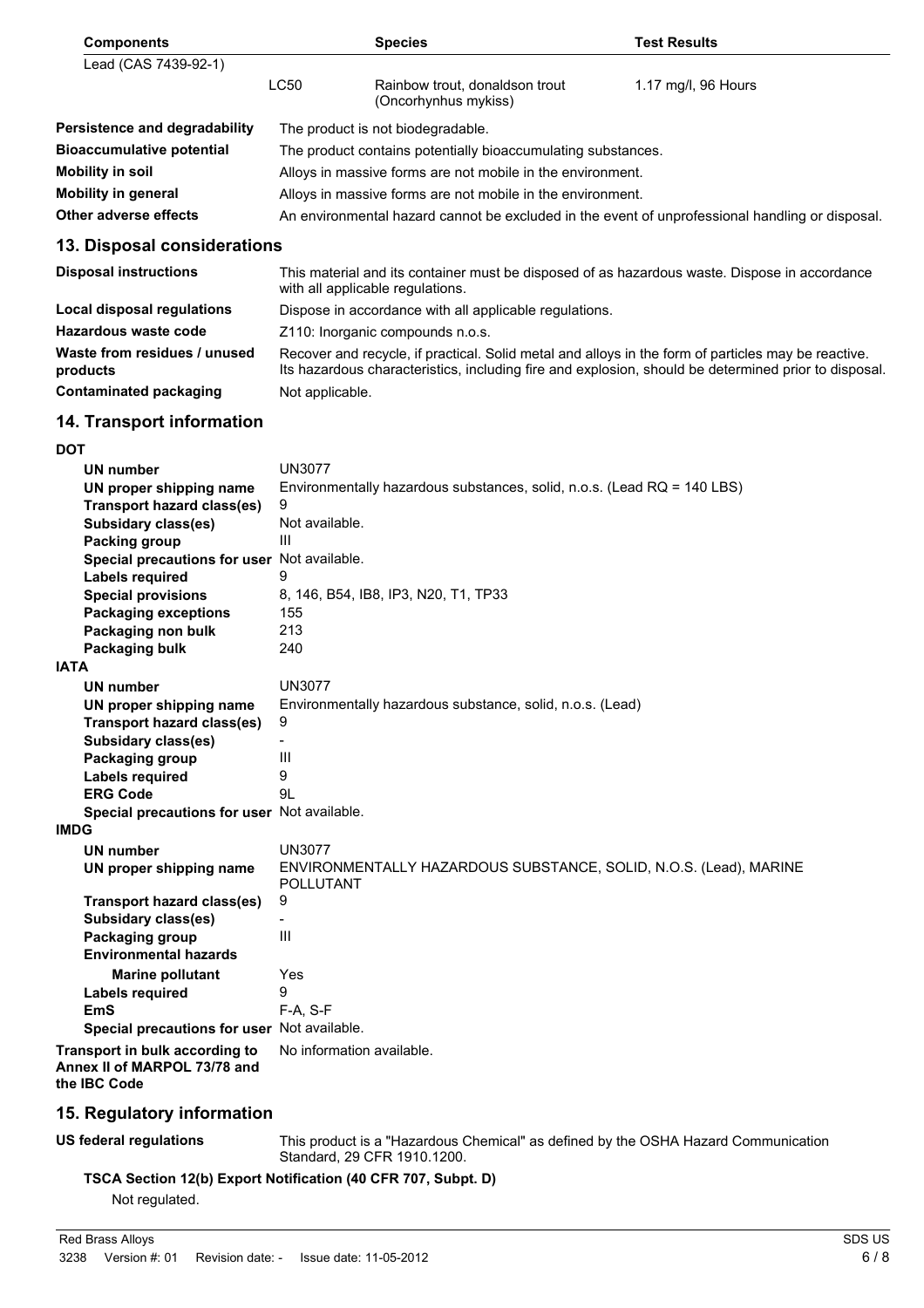| <b>Components</b>                                                              | <b>Species</b>                                                                                                                                                                                              | <b>Test Results</b> |
|--------------------------------------------------------------------------------|-------------------------------------------------------------------------------------------------------------------------------------------------------------------------------------------------------------|---------------------|
| Lead (CAS 7439-92-1)                                                           |                                                                                                                                                                                                             |                     |
|                                                                                | <b>LC50</b><br>Rainbow trout, donaldson trout<br>(Oncorhynhus mykiss)                                                                                                                                       | 1.17 mg/l, 96 Hours |
| Persistence and degradability                                                  | The product is not biodegradable.                                                                                                                                                                           |                     |
| <b>Bioaccumulative potential</b>                                               | The product contains potentially bioaccumulating substances.                                                                                                                                                |                     |
| <b>Mobility in soil</b>                                                        | Alloys in massive forms are not mobile in the environment.                                                                                                                                                  |                     |
| <b>Mobility in general</b>                                                     | Alloys in massive forms are not mobile in the environment.                                                                                                                                                  |                     |
| Other adverse effects                                                          | An environmental hazard cannot be excluded in the event of unprofessional handling or disposal.                                                                                                             |                     |
| 13. Disposal considerations                                                    |                                                                                                                                                                                                             |                     |
| <b>Disposal instructions</b>                                                   | This material and its container must be disposed of as hazardous waste. Dispose in accordance<br>with all applicable regulations.                                                                           |                     |
| <b>Local disposal regulations</b>                                              | Dispose in accordance with all applicable regulations.                                                                                                                                                      |                     |
| Hazardous waste code                                                           | Z110: Inorganic compounds n.o.s.                                                                                                                                                                            |                     |
| Waste from residues / unused<br>products                                       | Recover and recycle, if practical. Solid metal and alloys in the form of particles may be reactive.<br>Its hazardous characteristics, including fire and explosion, should be determined prior to disposal. |                     |
| <b>Contaminated packaging</b>                                                  | Not applicable.                                                                                                                                                                                             |                     |
| 14. Transport information                                                      |                                                                                                                                                                                                             |                     |
| <b>DOT</b>                                                                     |                                                                                                                                                                                                             |                     |
| UN number                                                                      | <b>UN3077</b>                                                                                                                                                                                               |                     |
| UN proper shipping name                                                        | Environmentally hazardous substances, solid, n.o.s. (Lead RQ = 140 LBS)                                                                                                                                     |                     |
| <b>Transport hazard class(es)</b><br><b>Subsidary class(es)</b>                | 9<br>Not available.                                                                                                                                                                                         |                     |
| Packing group                                                                  | Ш                                                                                                                                                                                                           |                     |
| Special precautions for user Not available.                                    |                                                                                                                                                                                                             |                     |
| <b>Labels required</b>                                                         | 9                                                                                                                                                                                                           |                     |
| <b>Special provisions</b>                                                      | 8, 146, B54, IB8, IP3, N20, T1, TP33                                                                                                                                                                        |                     |
| <b>Packaging exceptions</b>                                                    | 155                                                                                                                                                                                                         |                     |
| Packaging non bulk                                                             | 213<br>240                                                                                                                                                                                                  |                     |
| Packaging bulk<br><b>IATA</b>                                                  |                                                                                                                                                                                                             |                     |
| UN number                                                                      | <b>UN3077</b>                                                                                                                                                                                               |                     |
| UN proper shipping name                                                        | Environmentally hazardous substance, solid, n.o.s. (Lead)                                                                                                                                                   |                     |
| Transport hazard class(es)                                                     | y                                                                                                                                                                                                           |                     |
| <b>Subsidary class(es)</b>                                                     |                                                                                                                                                                                                             |                     |
| Packaging group                                                                | Ш                                                                                                                                                                                                           |                     |
| <b>Labels required</b><br><b>ERG Code</b>                                      | 9<br>9L                                                                                                                                                                                                     |                     |
| Special precautions for user Not available.                                    |                                                                                                                                                                                                             |                     |
| <b>IMDG</b>                                                                    |                                                                                                                                                                                                             |                     |
| <b>UN number</b>                                                               | <b>UN3077</b>                                                                                                                                                                                               |                     |
| UN proper shipping name                                                        | ENVIRONMENTALLY HAZARDOUS SUBSTANCE, SOLID, N.O.S. (Lead), MARINE<br>POLLUTANT                                                                                                                              |                     |
| Transport hazard class(es)                                                     | 9                                                                                                                                                                                                           |                     |
| <b>Subsidary class(es)</b><br>Packaging group                                  | Ш                                                                                                                                                                                                           |                     |
| <b>Environmental hazards</b>                                                   |                                                                                                                                                                                                             |                     |
| <b>Marine pollutant</b>                                                        | Yes                                                                                                                                                                                                         |                     |
| Labels required                                                                | 9                                                                                                                                                                                                           |                     |
| <b>EmS</b>                                                                     | $F-A, S-F$                                                                                                                                                                                                  |                     |
| Special precautions for user Not available.                                    |                                                                                                                                                                                                             |                     |
| Transport in bulk according to<br>Annex II of MARPOL 73/78 and<br>the IBC Code | No information available.                                                                                                                                                                                   |                     |
| 15. Regulatory information                                                     |                                                                                                                                                                                                             |                     |

**US federal regulations** This product is a "Hazardous Chemical" as defined by the OSHA Hazard Communication Standard, 29 CFR 1910.1200.

**TSCA Section 12(b) Export Notification (40 CFR 707, Subpt. D)**

Not regulated.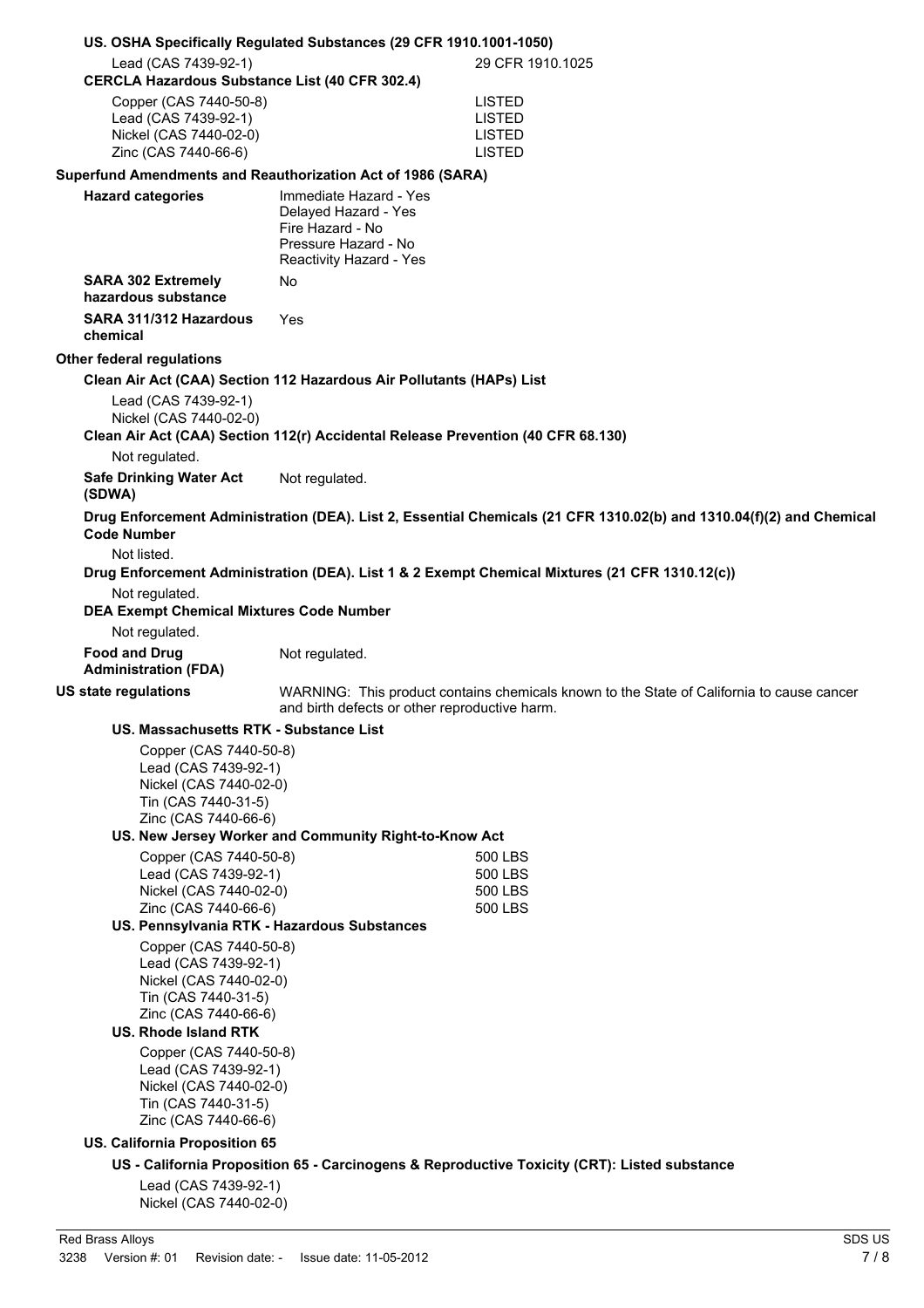| US. OSHA Specifically Regulated Substances (29 CFR 1910.1001-1050)                                                                                                                                                                                                                                                                                                                                                                                                                                                                                                                                        |                                                                                                                       |                                                                                                                      |
|-----------------------------------------------------------------------------------------------------------------------------------------------------------------------------------------------------------------------------------------------------------------------------------------------------------------------------------------------------------------------------------------------------------------------------------------------------------------------------------------------------------------------------------------------------------------------------------------------------------|-----------------------------------------------------------------------------------------------------------------------|----------------------------------------------------------------------------------------------------------------------|
| Lead (CAS 7439-92-1)<br><b>CERCLA Hazardous Substance List (40 CFR 302.4)</b>                                                                                                                                                                                                                                                                                                                                                                                                                                                                                                                             |                                                                                                                       | 29 CFR 1910.1025                                                                                                     |
| Copper (CAS 7440-50-8)<br>Lead (CAS 7439-92-1)<br>Nickel (CAS 7440-02-0)<br>Zinc (CAS 7440-66-6)                                                                                                                                                                                                                                                                                                                                                                                                                                                                                                          |                                                                                                                       | <b>LISTED</b><br><b>LISTED</b><br><b>LISTED</b><br><b>LISTED</b>                                                     |
| Superfund Amendments and Reauthorization Act of 1986 (SARA)                                                                                                                                                                                                                                                                                                                                                                                                                                                                                                                                               |                                                                                                                       |                                                                                                                      |
| <b>Hazard categories</b>                                                                                                                                                                                                                                                                                                                                                                                                                                                                                                                                                                                  | Immediate Hazard - Yes<br>Delayed Hazard - Yes<br>Fire Hazard - No<br>Pressure Hazard - No<br>Reactivity Hazard - Yes |                                                                                                                      |
| <b>SARA 302 Extremely</b><br>hazardous substance                                                                                                                                                                                                                                                                                                                                                                                                                                                                                                                                                          | No                                                                                                                    |                                                                                                                      |
| SARA 311/312 Hazardous<br>chemical                                                                                                                                                                                                                                                                                                                                                                                                                                                                                                                                                                        | Yes                                                                                                                   |                                                                                                                      |
| <b>Other federal regulations</b>                                                                                                                                                                                                                                                                                                                                                                                                                                                                                                                                                                          |                                                                                                                       |                                                                                                                      |
|                                                                                                                                                                                                                                                                                                                                                                                                                                                                                                                                                                                                           | Clean Air Act (CAA) Section 112 Hazardous Air Pollutants (HAPs) List                                                  |                                                                                                                      |
| Lead (CAS 7439-92-1)<br>Nickel (CAS 7440-02-0)                                                                                                                                                                                                                                                                                                                                                                                                                                                                                                                                                            | Clean Air Act (CAA) Section 112(r) Accidental Release Prevention (40 CFR 68.130)                                      |                                                                                                                      |
| Not regulated.                                                                                                                                                                                                                                                                                                                                                                                                                                                                                                                                                                                            |                                                                                                                       |                                                                                                                      |
| <b>Safe Drinking Water Act</b><br>(SDWA)                                                                                                                                                                                                                                                                                                                                                                                                                                                                                                                                                                  | Not regulated.                                                                                                        |                                                                                                                      |
| <b>Code Number</b>                                                                                                                                                                                                                                                                                                                                                                                                                                                                                                                                                                                        |                                                                                                                       | Drug Enforcement Administration (DEA). List 2, Essential Chemicals (21 CFR 1310.02(b) and 1310.04(f)(2) and Chemical |
| Not listed.<br>Not regulated.<br><b>DEA Exempt Chemical Mixtures Code Number</b><br>Not regulated.                                                                                                                                                                                                                                                                                                                                                                                                                                                                                                        |                                                                                                                       | Drug Enforcement Administration (DEA). List 1 & 2 Exempt Chemical Mixtures (21 CFR 1310.12(c))                       |
| <b>Food and Drug</b><br><b>Administration (FDA)</b>                                                                                                                                                                                                                                                                                                                                                                                                                                                                                                                                                       | Not regulated.                                                                                                        |                                                                                                                      |
| <b>US state regulations</b>                                                                                                                                                                                                                                                                                                                                                                                                                                                                                                                                                                               | and birth defects or other reproductive harm.                                                                         | WARNING: This product contains chemicals known to the State of California to cause cancer                            |
| US. Massachusetts RTK - Substance List<br>Copper (CAS 7440-50-8)<br>Lead (CAS 7439-92-1)<br>Nickel (CAS 7440-02-0)<br>Tin (CAS 7440-31-5)<br>Zinc (CAS 7440-66-6)<br>Copper (CAS 7440-50-8)<br>Lead (CAS 7439-92-1)<br>Nickel (CAS 7440-02-0)<br>Zinc (CAS 7440-66-6)<br>US. Pennsylvania RTK - Hazardous Substances<br>Copper (CAS 7440-50-8)<br>Lead (CAS 7439-92-1)<br>Nickel (CAS 7440-02-0)<br>Tin (CAS 7440-31-5)<br>Zinc (CAS 7440-66-6)<br><b>US. Rhode Island RTK</b><br>Copper (CAS 7440-50-8)<br>Lead (CAS 7439-92-1)<br>Nickel (CAS 7440-02-0)<br>Tin (CAS 7440-31-5)<br>Zinc (CAS 7440-66-6) | US. New Jersey Worker and Community Right-to-Know Act                                                                 | 500 LBS<br>500 LBS<br>500 LBS<br>500 LBS                                                                             |
| <b>US. California Proposition 65</b>                                                                                                                                                                                                                                                                                                                                                                                                                                                                                                                                                                      |                                                                                                                       |                                                                                                                      |
| Lead (CAS 7439-92-1)<br>Nickel (CAS 7440-02-0)                                                                                                                                                                                                                                                                                                                                                                                                                                                                                                                                                            |                                                                                                                       | US - California Proposition 65 - Carcinogens & Reproductive Toxicity (CRT): Listed substance                         |
| Red Brass Alloys                                                                                                                                                                                                                                                                                                                                                                                                                                                                                                                                                                                          |                                                                                                                       | SDS US                                                                                                               |